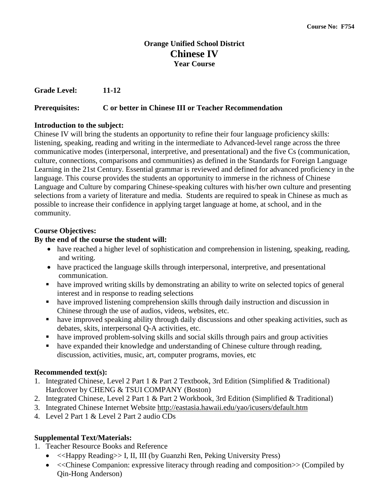# **Orange Unified School District Chinese IV Year Course**

**Grade Level: 11-12**

# **Prerequisites: C or better in Chinese III or Teacher Recommendation**

# **Introduction to the subject:**

Chinese IV will bring the students an opportunity to refine their four language proficiency skills: listening, speaking, reading and writing in the intermediate to Advanced-level range across the three communicative modes (interpersonal, interpretive, and presentational) and the five Cs (communication, culture, connections, comparisons and communities) as defined in the Standards for Foreign Language Learning in the 21st Century. Essential grammar is reviewed and defined for advanced proficiency in the language. This course provides the students an opportunity to immerse in the richness of Chinese Language and Culture by comparing Chinese-speaking cultures with his/her own culture and presenting selections from a variety of literature and media. Students are required to speak in Chinese as much as possible to increase their confidence in applying target language at home, at school, and in the community.

# **Course Objectives:**

# **By the end of the course the student will:**

- have reached a higher level of sophistication and comprehension in listening, speaking, reading, and writing.
- have practiced the language skills through interpersonal, interpretive, and presentational communication.
- have improved writing skills by demonstrating an ability to write on selected topics of general interest and in response to reading selections
- have improved listening comprehension skills through daily instruction and discussion in Chinese through the use of audios, videos, websites, etc.
- have improved speaking ability through daily discussions and other speaking activities, such as debates, skits, interpersonal Q-A activities, etc.
- have improved problem-solving skills and social skills through pairs and group activities
- have expanded their knowledge and understanding of Chinese culture through reading, discussion, activities, music, art, computer programs, movies, etc

# **Recommended text(s):**

- 1. Integrated Chinese, Level 2 Part 1 & Part 2 Textbook, 3rd Edition (Simplified & Traditional) Hardcover by CHENG & TSUI COMPANY (Boston)
- 2. Integrated Chinese, Level 2 Part 1 & Part 2 Workbook, 3rd Edition (Simplified & Traditional)
- 3. Integrated Chinese Internet Website http://eastasia.hawaii.edu/yao/icusers/default.htm
- 4. Level 2 Part 1 & Level 2 Part 2 audio CDs

# **Supplemental Text/Materials:**

- 1. Teacher Resource Books and Reference
	- << Happy Reading>> I, II, III (by Guanzhi Ren, Peking University Press)
	- << Chinese Companion: expressive literacy through reading and composition  $>$  (Compiled by Qin-Hong Anderson)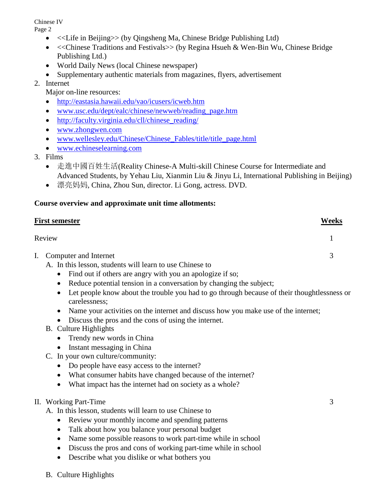Chinese IV

Page 2

- <<Life in Beijing>> (by Qingsheng Ma, Chinese Bridge Publishing Ltd)
- <<Chinese Traditions and Festivals>> (by Regina Hsueh & Wen-Bin Wu, Chinese Bridge Publishing Ltd.)
- World Daily News (local Chinese newspaper)
- Supplementary authentic materials from magazines, flyers, advertisement

# 2. Internet

- Major on-line resources:
- <http://eastasia.hawaii.edu/vao/icusers/icweb.htm>
- [www.usc.edu/dept/ealc/chinese/newweb/reading\\_page.htm](http://www.usc.edu/dept/ealc/chinese/newweb/reading_page.htm)
- http://faculty.virginia.edu/cll/chinese reading/
- [www.zhongwen.com](http://www.zhongwen.com/)
- www.wellesley.edu/Chinese/Chinese Fables/title/title\_page.html
- [www.echineselearning.com](http://www.echineselearning.com/)
- 3. Films
	- 走進中國百姓生活(Reality Chinese-A Multi-skill Chinese Course for Intermediate and Advanced Students, by Yehau Liu, Xianmin Liu & Jinyu Li, International Publishing in Beijing)
	- 漂亮妈妈, China, Zhou Sun, director. Li Gong, actress. DVD.

# **Course overview and approximate unit time allotments:**

|    | <u>First semester</u>                                                                                                                                                                                                                                                                                                                                                                                                                                                                                                                                                                                                                                                                                                                                                                                                                                                          | Weeks |
|----|--------------------------------------------------------------------------------------------------------------------------------------------------------------------------------------------------------------------------------------------------------------------------------------------------------------------------------------------------------------------------------------------------------------------------------------------------------------------------------------------------------------------------------------------------------------------------------------------------------------------------------------------------------------------------------------------------------------------------------------------------------------------------------------------------------------------------------------------------------------------------------|-------|
|    | Review                                                                                                                                                                                                                                                                                                                                                                                                                                                                                                                                                                                                                                                                                                                                                                                                                                                                         | 1     |
| I. | Computer and Internet<br>A. In this lesson, students will learn to use Chinese to<br>Find out if others are angry with you an apologize if so;<br>$\bullet$<br>Reduce potential tension in a conversation by changing the subject;<br>٠<br>Let people know about the trouble you had to go through because of their thoughtlessness or<br>$\bullet$<br>carelessness;<br>Name your activities on the internet and discuss how you make use of the internet;<br>$\bullet$<br>Discuss the pros and the cons of using the internet.<br><b>B.</b> Culture Highlights<br>Trendy new words in China<br>$\bullet$<br>Instant messaging in China<br>C. In your own culture/community:<br>Do people have easy access to the internet?<br>$\bullet$<br>What consumer habits have changed because of the internet?<br>$\bullet$<br>What impact has the internet had on society as a whole? | 3     |
|    | II. Working Part-Time<br>A. In this lesson, students will learn to use Chinese to<br>Review your monthly income and spending patterns<br>$\bullet$<br>Talk about how you balance your personal budget<br>٠<br>Name some possible reasons to work part-time while in school<br>$\bullet$<br>Discuss the pros and cons of working part-time while in school<br>$\bullet$                                                                                                                                                                                                                                                                                                                                                                                                                                                                                                         | 3     |

- Describe what you dislike or what bothers you
- B. Culture Highlights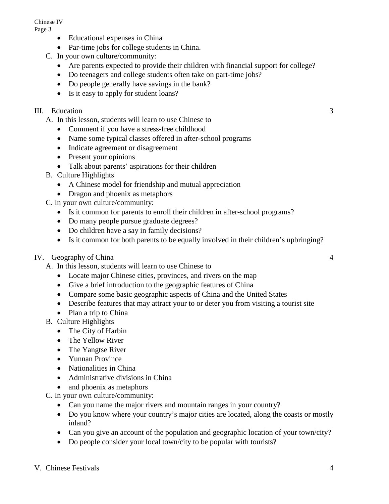Chinese IV

Page 3

- Educational expenses in China
- Par-time jobs for college students in China.
- C. In your own culture/community:
	- Are parents expected to provide their children with financial support for college?
	- Do teenagers and college students often take on part-time jobs?
	- Do people generally have savings in the bank?
	- Is it easy to apply for student loans?

# III. Education 3

A. In this lesson, students will learn to use Chinese to

- Comment if you have a stress-free childhood
- Name some typical classes offered in after-school programs
- Indicate agreement or disagreement
- Present your opinions
- Talk about parents' aspirations for their children
- B. Culture Highlights
	- A Chinese model for friendship and mutual appreciation
	- Dragon and phoenix as metaphors

C. In your own culture/community:

- Is it common for parents to enroll their children in after-school programs?
- Do many people pursue graduate degrees?
- Do children have a say in family decisions?
- Is it common for both parents to be equally involved in their children's upbringing?
- IV. Geography of China 4
	- A. In this lesson, students will learn to use Chinese to
		- Locate major Chinese cities, provinces, and rivers on the map
		- Give a brief introduction to the geographic features of China
		- Compare some basic geographic aspects of China and the United States
		- Describe features that may attract your to or deter you from visiting a tourist site
		- Plan a trip to China
	- B. Culture Highlights
		- The City of Harbin
		- The Yellow River
		- The Yangtse River
		- Yunnan Province
		- Nationalities in China
		- Administrative divisions in China
		- and phoenix as metaphors

C. In your own culture/community:

- Can you name the major rivers and mountain ranges in your country?
- Do you know where your country's major cities are located, along the coasts or mostly inland?
- Can you give an account of the population and geographic location of your town/city?
- Do people consider your local town/city to be popular with tourists?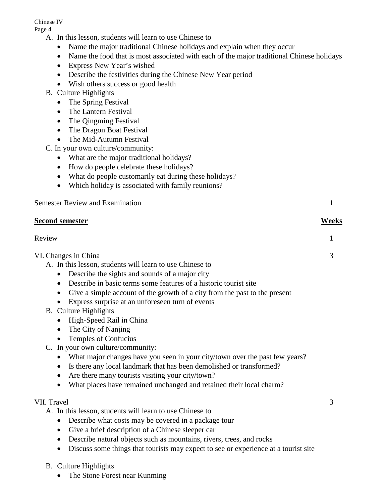### Chinese IV

Page 4

- A. In this lesson, students will learn to use Chinese to
	- Name the major traditional Chinese holidays and explain when they occur
	- Name the food that is most associated with each of the major traditional Chinese holidays
	- Express New Year's wished
	- Describe the festivities during the Chinese New Year period
	- Wish others success or good health
- B. Culture Highlights
	- The Spring Festival
	- The Lantern Festival
	- The Qingming Festival
	- The Dragon Boat Festival
	- The Mid-Autumn Festival

C. In your own culture/community:

- What are the major traditional holidays?
- How do people celebrate these holidays?
- What do people customarily eat during these holidays?
- Which holiday is associated with family reunions?

# Semester Review and Examination 1

### **Second semester Weeks**

# Review 1

VI. Changes in China 3 A. In this lesson, students will learn to use Chinese to • Describe the sights and sounds of a major city • Describe in basic terms some features of a historic tourist site • Give a simple account of the growth of a city from the past to the present

- Express surprise at an unforeseen turn of events
- B. Culture Highlights
	- High-Speed Rail in China
	- The City of Nanjing
	- Temples of Confucius
- C. In your own culture/community:
	- What major changes have you seen in your city/town over the past few years?
	- Is there any local landmark that has been demolished or transformed?
	- Are there many tourists visiting your city/town?
	- What places have remained unchanged and retained their local charm?

# VII. Travel 3

- A. In this lesson, students will learn to use Chinese to
	- Describe what costs may be covered in a package tour
	- Give a brief description of a Chinese sleeper car
	- Describe natural objects such as mountains, rivers, trees, and rocks
	- Discuss some things that tourists may expect to see or experience at a tourist site
- B. Culture Highlights
	- The Stone Forest near Kunming

- 
-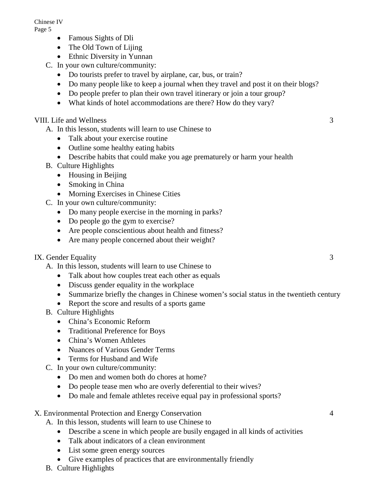Chinese IV Page 5

- Famous Sights of Dli
- The Old Town of Lijing
- Ethnic Diversity in Yunnan
- C. In your own culture/community:
	- Do tourists prefer to travel by airplane, car, bus, or train?
	- Do many people like to keep a journal when they travel and post it on their blogs?
	- Do people prefer to plan their own travel itinerary or join a tour group?
	- What kinds of hotel accommodations are there? How do they vary?

# VIII. Life and Wellness 3

- A. In this lesson, students will learn to use Chinese to
	- Talk about your exercise routine
	- Outline some healthy eating habits
	- Describe habits that could make you age prematurely or harm your health
- B. Culture Highlights
	- Housing in Beijing
	- Smoking in China
	- Morning Exercises in Chinese Cities
- C. In your own culture/community:
	- Do many people exercise in the morning in parks?
	- Do people go the gym to exercise?
	- Are people conscientious about health and fitness?
	- Are many people concerned about their weight?

# IX. Gender Equality 3

- A. In this lesson, students will learn to use Chinese to
	- Talk about how couples treat each other as equals
	- Discuss gender equality in the workplace
	- Summarize briefly the changes in Chinese women's social status in the twentieth century
	- Report the score and results of a sports game
- B. Culture Highlights
	- China's Economic Reform
	- Traditional Preference for Boys
	- China's Women Athletes
	- Nuances of Various Gender Terms
	- Terms for Husband and Wife
- C. In your own culture/community:
	- Do men and women both do chores at home?
	- Do people tease men who are overly deferential to their wives?
	- Do male and female athletes receive equal pay in professional sports?

# X. Environmental Protection and Energy Conservation 4

- A. In this lesson, students will learn to use Chinese to
	- Describe a scene in which people are busily engaged in all kinds of activities
	- Talk about indicators of a clean environment
	- List some green energy sources
	- Give examples of practices that are environmentally friendly
- B. Culture Highlights